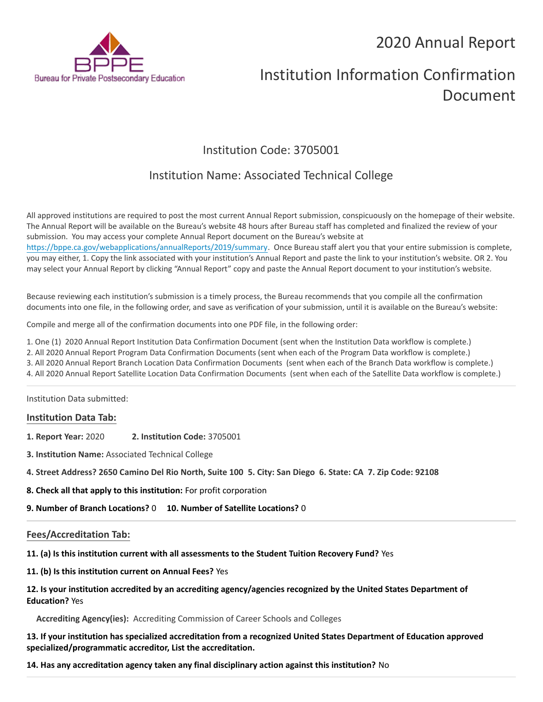## 2020 Annual Report



# Institution Information Confirmation Document

### Institution Code: 3705001

### Institution Name: Associated Technical College

All approved institutions are required to post the most current Annual Report submission, conspicuously on the homepage of their website. The Annual Report will be available on the Bureau's website 48 hours after Bureau staff has completed and finalized the review of your submission. You may access your complete Annual Report document on the Bureau's website at https://bppe.ca.gov/webapplications/annualReports/2019/summary. Once Bureau staff alert you that your entire submission is complete, you may either, 1. Copy the link associated with your institution's Annual Report and paste the link to your institution's website. OR 2. You may select your Annual Report by clicking "Annual Report" copy and paste the Annual Report document to your institution's website.

Because reviewing each institution's submission is a timely process, the Bureau recommends that you compile all the confirmation documents into one file, in the following order, and save as verification of your submission, until it is available on the Bureau's website:

Compile and merge all of the confirmation documents into one PDF file, in the following order:

- 1. One (1) 2020 Annual Report Institution Data Confirmation Document (sent when the Institution Data workflow is complete.)
- 2. All 2020 Annual Report Program Data Confirmation Documents (sent when each of the Program Data workflow is complete.)
- 3. All 2020 Annual Report Branch Location Data Confirmation Documents (sent when each of the Branch Data workflow is complete.)
- 4. All 2020 Annual Report Satellite Location Data Confirmation Documents (sent when each of the Satellite Data workflow is complete.)

Institution Data submitted:

### **Institution Data Tab:**

- **1. Report Year:** 2020 **2. Institution Code:** 3705001
- **3. Institution Name:** Associated Technical College
- **4. Street Address? 2650 Camino Del Rio North, Suite 100 5. City: San Diego 6. State: CA 7. Zip Code: 92108**
- **8. Check all that apply to this institution:** For profit corporation
- **9. Number of Branch Locations?** 0 **10. Number of Satellite Locations?** 0

### **Fees/Accreditation Tab:**

- **11. (a) Is this institution current with all assessments to the Student Tuition Recovery Fund?** Yes
- **11. (b) Is this institution current on Annual Fees?** Yes

### **12. Is your institution accredited by an accrediting agency/agencies recognized by the United States Department of Education?** Yes

**Accrediting Agency(ies):** Accrediting Commission of Career Schools and Colleges

**13. If your institution has specialized accreditation from a recognized United States Department of Education approved specialized/programmatic accreditor, List the accreditation.**

**14. Has any accreditation agency taken any final disciplinary action against this institution?** No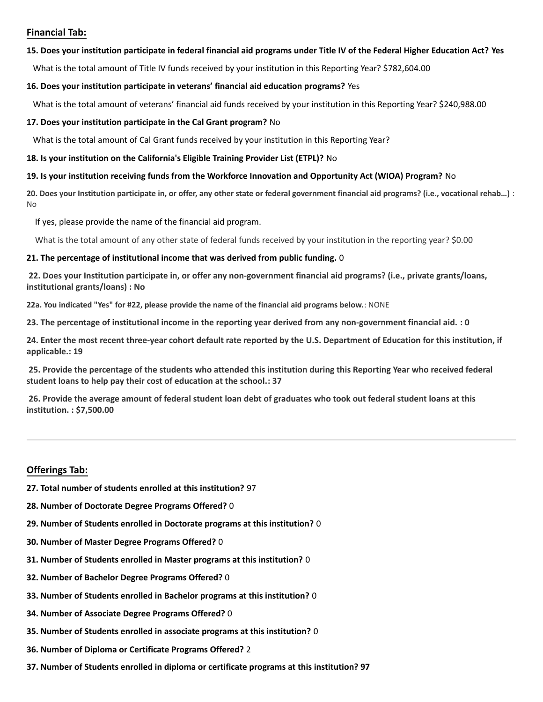### **Financial Tab:**

#### **15. Does your institution participate in federal financial aid programs under Title IV of the Federal Higher Education Act? Yes**

What is the total amount of Title IV funds received by your institution in this Reporting Year? \$782,604.00

#### **16. Does your institution participate in veterans' financial aid education programs?** Yes

What is the total amount of veterans' financial aid funds received by your institution in this Reporting Year? \$240,988.00

### **17. Does your institution participate in the Cal Grant program?** No

What is the total amount of Cal Grant funds received by your institution in this Reporting Year?

#### **18. Is your institution on the California's Eligible Training Provider List (ETPL)?** No

### **19. Is your institution receiving funds from the Workforce Innovation and Opportunity Act (WIOA) Program?** No

**20. Does your Institution participate in, or offer, any other state or federal government financial aid programs? (i.e., vocational rehab…)** : No

If yes, please provide the name of the financial aid program.

What is the total amount of any other state of federal funds received by your institution in the reporting year? \$0.00

### **21. The percentage of institutional income that was derived from public funding.** 0

**22. Does your Institution participate in, or offer any non-government financial aid programs? (i.e., private grants/loans, institutional grants/loans) : No**

**22a. You indicated "Yes" for #22, please provide the name of the financial aid programs below.**: NONE

**23. The percentage of institutional income in the reporting year derived from any non-government financial aid. : 0**

**24. Enter the most recent three-year cohort default rate reported by the U.S. Department of Education for this institution, if applicable.: 19**

**25. Provide the percentage of the students who attended this institution during this Reporting Year who received federal student loans to help pay their cost of education at the school.: 37**

**26. Provide the average amount of federal student loan debt of graduates who took out federal student loans at this institution. : \$7,500.00**

### **Offerings Tab:**

- **27. Total number of students enrolled at this institution?** 97
- **28. Number of Doctorate Degree Programs Offered?** 0
- **29. Number of Students enrolled in Doctorate programs at this institution?** 0
- **30. Number of Master Degree Programs Offered?** 0
- **31. Number of Students enrolled in Master programs at this institution?** 0
- **32. Number of Bachelor Degree Programs Offered?** 0
- **33. Number of Students enrolled in Bachelor programs at this institution?** 0
- **34. Number of Associate Degree Programs Offered?** 0
- **35. Number of Students enrolled in associate programs at this institution?** 0
- **36. Number of Diploma or Certificate Programs Offered?** 2
- **37. Number of Students enrolled in diploma or certificate programs at this institution? 97**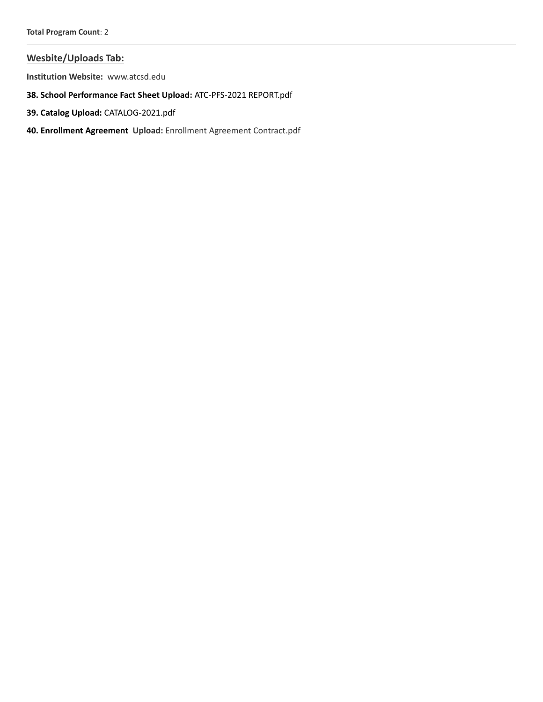### **Wesbite/Uploads Tab:**

**Institution Website:**  www.atcsd.edu

- **38. School Performance Fact Sheet Upload:** ATC-PFS-2021 REPORT.pdf
- **39. Catalog Upload:** CATALOG-2021.pdf
- **40. Enrollment Agreement Upload:** Enrollment Agreement Contract.pdf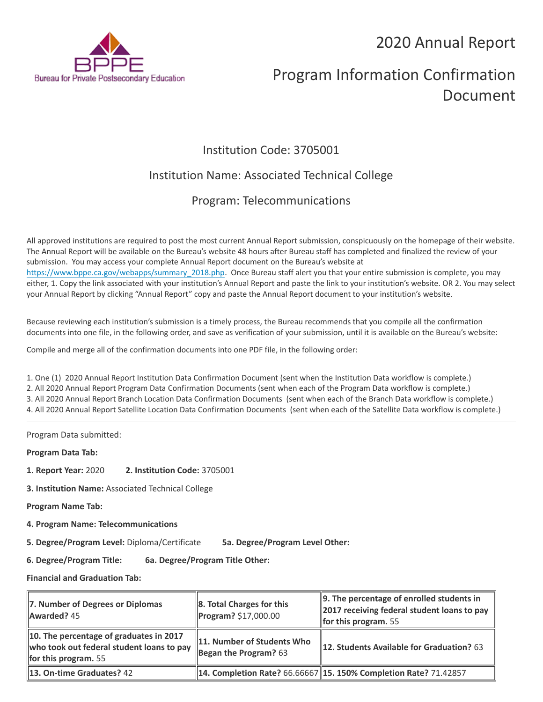## 2020 Annual Report



# Program Information Confirmation Document

### Institution Code: 3705001

### Institution Name: Associated Technical College

### Program: Telecommunications

All approved institutions are required to post the most current Annual Report submission, conspicuously on the homepage of their website. The Annual Report will be available on the Bureau's website 48 hours after Bureau staff has completed and finalized the review of your submission. You may access your complete Annual Report document on the Bureau's website at https://www.bppe.ca.gov/webapps/summary\_2018.php. Once Bureau staff alert you that your entire submission is complete, you may either, 1. Copy the link associated with your institution's Annual Report and paste the link to your institution's website. OR 2. You may select your Annual Report by clicking "Annual Report" copy and paste the Annual Report document to your institution's website.

Because reviewing each institution's submission is a timely process, the Bureau recommends that you compile all the confirmation documents into one file, in the following order, and save as verification of your submission, until it is available on the Bureau's website:

Compile and merge all of the confirmation documents into one PDF file, in the following order:

1. One (1) 2020 Annual Report Institution Data Confirmation Document (sent when the Institution Data workflow is complete.) 2. All 2020 Annual Report Program Data Confirmation Documents (sent when each of the Program Data workflow is complete.) 3. All 2020 Annual Report Branch Location Data Confirmation Documents (sent when each of the Branch Data workflow is complete.) 4. All 2020 Annual Report Satellite Location Data Confirmation Documents (sent when each of the Satellite Data workflow is complete.)

Program Data submitted:

**Program Data Tab:**

- **1. Report Year:** 2020 **2. Institution Code:** 3705001
- **3. Institution Name:** Associated Technical College

**Program Name Tab:**

**4. Program Name: Telecommunications** 

**5. Degree/Program Level:** Diploma/Certificate **5a. Degree/Program Level Other:**

**6. Degree/Program Title: 6a. Degree/Program Title Other:**

**Financial and Graduation Tab:**

| 7. Number of Degrees or Diplomas<br>Awarded? 45                                                                     | 8. Total Charges for this<br>Program? \$17,000.00     | 9. The percentage of enrolled students in<br><b>2017 receiving federal student loans to pay</b><br>for this program. $55$ |
|---------------------------------------------------------------------------------------------------------------------|-------------------------------------------------------|---------------------------------------------------------------------------------------------------------------------------|
| 10. The percentage of graduates in 2017<br>who took out federal student loans to pay<br><b>for this program.</b> 55 | 11. Number of Students Who<br>Began the Program? $63$ | <b>12. Students Available for Graduation?</b> 63                                                                          |
| <b>13. On-time Graduates? 42</b>                                                                                    |                                                       | 14. Completion Rate? 66.66667   15. 150% Completion Rate? 71.42857                                                        |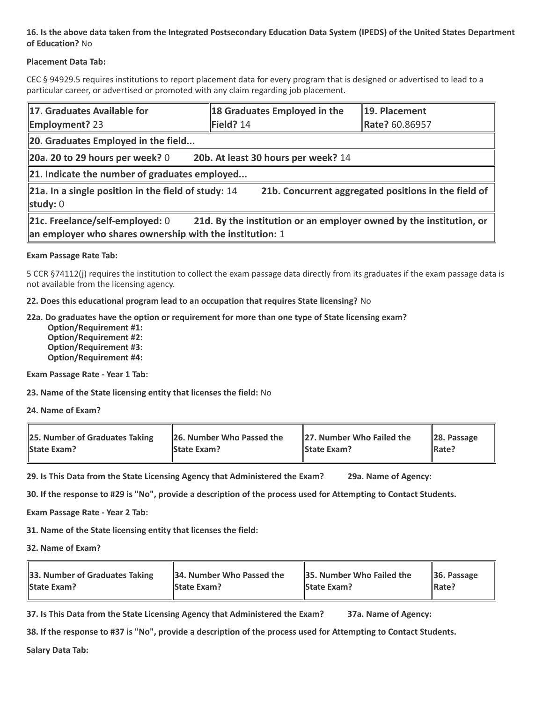### **16. Is the above data taken from the Integrated Postsecondary Education Data System (IPEDS) of the United States Department of Education?** No

### **Placement Data Tab:**

CEC § 94929.5 requires institutions to report placement data for every program that is designed or advertised to lead to a particular career, or advertised or promoted with any claim regarding job placement.

| 17. Graduates Available for<br><b>Employment?</b> 23                                                                                                                 | 18 Graduates Employed in the<br>Field? 14 | 19. Placement<br>Rate? 60.86957 |  |  |
|----------------------------------------------------------------------------------------------------------------------------------------------------------------------|-------------------------------------------|---------------------------------|--|--|
| 20. Graduates Employed in the field                                                                                                                                  |                                           |                                 |  |  |
| 20a. 20 to 29 hours per week? $0$                                                                                                                                    | 20b. At least 30 hours per week? 14       |                                 |  |  |
| 21. Indicate the number of graduates employed                                                                                                                        |                                           |                                 |  |  |
| $\ $ 21a. In a single position in the field of study: 14<br>21b. Concurrent aggregated positions in the field of<br>study: $0$                                       |                                           |                                 |  |  |
| 21c. Freelance/self-employed: 0<br>21d. By the institution or an employer owned by the institution, or<br>an employer who shares ownership with the institution: $1$ |                                           |                                 |  |  |

### **Exam Passage Rate Tab:**

5 CCR §74112(j) requires the institution to collect the exam passage data directly from its graduates if the exam passage data is not available from the licensing agency.

**22. Does this educational program lead to an occupation that requires State licensing?** No

### **22a. Do graduates have the option or requirement for more than one type of State licensing exam?**

 **Option/Requirement #1: Option/Requirement #2: Option/Requirement #3: Option/Requirement #4:**

**Exam Passage Rate - Year 1 Tab:**

**23. Name of the State licensing entity that licenses the field:** No

**24. Name of Exam?**

| 25. Number of Graduates Taking | 26. Number Who Passed the | 27. Number Who Failed the | $\ $ 28. Passage |
|--------------------------------|---------------------------|---------------------------|------------------|
| <b>State Exam?</b>             | <b>State Exam?</b>        | <b>State Exam?</b>        | Rate?            |

**29. Is This Data from the State Licensing Agency that Administered the Exam? 29a. Name of Agency:**

**30. If the response to #29 is "No", provide a description of the process used for Attempting to Contact Students.**

**Exam Passage Rate - Year 2 Tab:**

**31. Name of the State licensing entity that licenses the field:**

**32. Name of Exam?**

| 33. Number of Graduates Taking | 34. Number Who Passed the | <b>35. Number Who Failed the</b> | $\parallel$ 36. Passage |
|--------------------------------|---------------------------|----------------------------------|-------------------------|
| <b>State Exam?</b>             | <b>State Exam?</b>        | <b>State Exam?</b>               | $\parallel$ Rate?       |

**37. Is This Data from the State Licensing Agency that Administered the Exam? 37a. Name of Agency:**

**38. If the response to #37 is "No", provide a description of the process used for Attempting to Contact Students.** 

**Salary Data Tab:**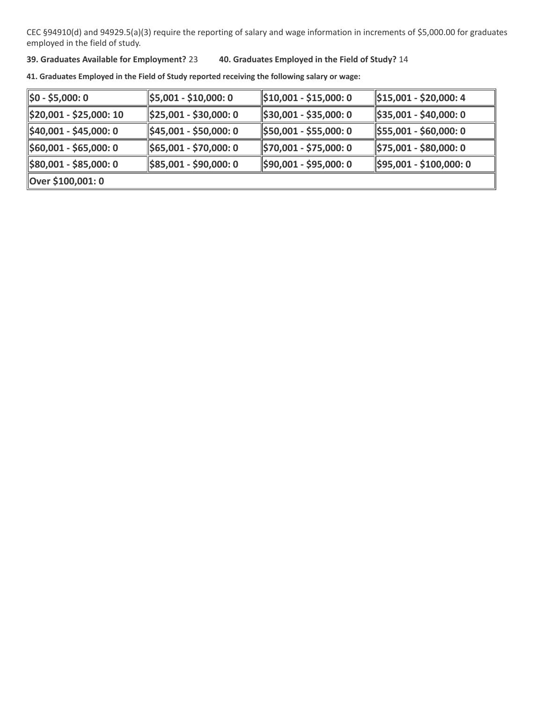CEC §94910(d) and 94929.5(a)(3) require the reporting of salary and wage information in increments of \$5,000.00 for graduates employed in the field of study.

### **39. Graduates Available for Employment?** 23 **40. Graduates Employed in the Field of Study?** 14

**41. Graduates Employed in the Field of Study reported receiving the following salary or wage:**

| ∥\$0 - \$5,000: 0                   | $\frac{1}{2}$ \$5,001 - \$10,000: 0 | $\parallel$ \$10,001 - \$15,000: 0   | \$15,001 - \$20,000: 4               |
|-------------------------------------|-------------------------------------|--------------------------------------|--------------------------------------|
| \$20,001 - \$25,000: 10             | $\parallel$ \$25,001 - \$30,000: 0  | $\frac{1}{2}$ \$30,001 - \$35,000: 0 | $\frac{1}{2}$ \$35,001 - \$40,000: 0 |
| <u>  </u> \$40,001 - \$45,000: 0    | $\parallel$ \$45,001 - \$50,000: 0  | 1\$50,001 - \$55,000: 0              | \$55,001 - \$60,000: 0               |
| $\frac{1}{2}$ \$60,001 - \$65,000:0 | \$65,001 - \$70,000: 0              | \$70,001 - \$75,000: 0               | $\frac{1}{2}$ \$75,001 - \$80,000: 0 |
| \$80,001 - \$85,000: 0              | \$85,001 - \$90,000: 0              | \$90,001 - \$95,000: 0               | $\frac{1595,001 - $100,000:0}{}$     |
| Over \$100,001: 0                   |                                     |                                      |                                      |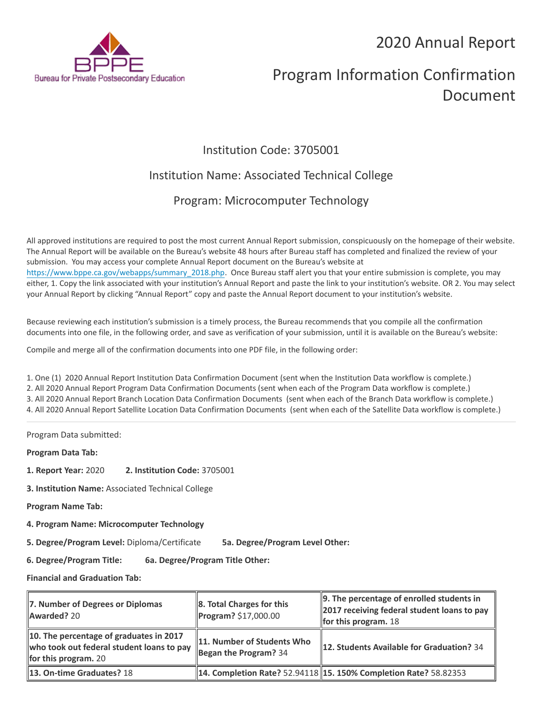## 2020 Annual Report



# Program Information Confirmation Document

### Institution Code: 3705001

### Institution Name: Associated Technical College

### Program: Microcomputer Technology

All approved institutions are required to post the most current Annual Report submission, conspicuously on the homepage of their website. The Annual Report will be available on the Bureau's website 48 hours after Bureau staff has completed and finalized the review of your submission. You may access your complete Annual Report document on the Bureau's website at https://www.bppe.ca.gov/webapps/summary\_2018.php. Once Bureau staff alert you that your entire submission is complete, you may either, 1. Copy the link associated with your institution's Annual Report and paste the link to your institution's website. OR 2. You may select your Annual Report by clicking "Annual Report" copy and paste the Annual Report document to your institution's website.

Because reviewing each institution's submission is a timely process, the Bureau recommends that you compile all the confirmation documents into one file, in the following order, and save as verification of your submission, until it is available on the Bureau's website:

Compile and merge all of the confirmation documents into one PDF file, in the following order:

1. One (1) 2020 Annual Report Institution Data Confirmation Document (sent when the Institution Data workflow is complete.) 2. All 2020 Annual Report Program Data Confirmation Documents (sent when each of the Program Data workflow is complete.) 3. All 2020 Annual Report Branch Location Data Confirmation Documents (sent when each of the Branch Data workflow is complete.) 4. All 2020 Annual Report Satellite Location Data Confirmation Documents (sent when each of the Satellite Data workflow is complete.)

Program Data submitted:

**Program Data Tab:**

- **1. Report Year:** 2020 **2. Institution Code:** 3705001
- **3. Institution Name:** Associated Technical College
- **Program Name Tab:**
- **4. Program Name: Microcomputer Technology**

**5. Degree/Program Level:** Diploma/Certificate **5a. Degree/Program Level Other:**

**6. Degree/Program Title: 6a. Degree/Program Title Other:**

**Financial and Graduation Tab:**

| 7. Number of Degrees or Diplomas<br>Awarded? 20                                                                | 8. Total Charges for this<br>Program? \$17,000.00     | $\parallel$ 9. The percentage of enrolled students in<br>2017 receiving federal student loans to pay<br>for this program. $18$ |
|----------------------------------------------------------------------------------------------------------------|-------------------------------------------------------|--------------------------------------------------------------------------------------------------------------------------------|
| 10. The percentage of graduates in 2017<br>who took out federal student loans to pay<br>for this program. $20$ | 11. Number of Students Who<br>Began the Program? $34$ | <b>12. Students Available for Graduation?</b> 34                                                                               |
| <b>13. On-time Graduates? 18</b>                                                                               |                                                       | 14. Completion Rate? 52.94118   15. 150% Completion Rate? 58.82353                                                             |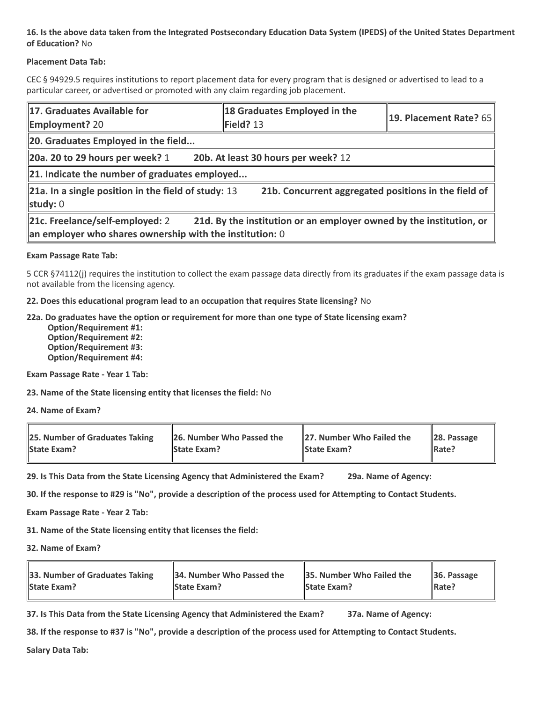### **16. Is the above data taken from the Integrated Postsecondary Education Data System (IPEDS) of the United States Department of Education?** No

### **Placement Data Tab:**

CEC § 94929.5 requires institutions to report placement data for every program that is designed or advertised to lead to a particular career, or advertised or promoted with any claim regarding job placement.

| 17. Graduates Available for<br><b>Employment? 20</b>                                                                                                               | 18 Graduates Employed in the<br>Field? 13            | 19. Placement Rate? 65 |  |  |
|--------------------------------------------------------------------------------------------------------------------------------------------------------------------|------------------------------------------------------|------------------------|--|--|
| 20. Graduates Employed in the field                                                                                                                                |                                                      |                        |  |  |
| $\vert$ 20a. 20 to 29 hours per week? 1                                                                                                                            | 20b. At least 30 hours per week? 12                  |                        |  |  |
| 21. Indicate the number of graduates employed                                                                                                                      |                                                      |                        |  |  |
| 21a. In a single position in the field of study: 13<br>study: 0                                                                                                    | 21b. Concurrent aggregated positions in the field of |                        |  |  |
| 21c. Freelance/self-employed: 2<br>21d. By the institution or an employer owned by the institution, or<br>an employer who shares ownership with the institution: 0 |                                                      |                        |  |  |

### **Exam Passage Rate Tab:**

5 CCR §74112(j) requires the institution to collect the exam passage data directly from its graduates if the exam passage data is not available from the licensing agency.

**22. Does this educational program lead to an occupation that requires State licensing?** No

### **22a. Do graduates have the option or requirement for more than one type of State licensing exam?**

 **Option/Requirement #1: Option/Requirement #2: Option/Requirement #3: Option/Requirement #4:**

**Exam Passage Rate - Year 1 Tab:**

**23. Name of the State licensing entity that licenses the field:** No

**24. Name of Exam?**

| 25. Number of Graduates Taking | 26. Number Who Passed the | 27. Number Who Failed the | $\ $ 28. Passage |
|--------------------------------|---------------------------|---------------------------|------------------|
| <b>State Exam?</b>             | <b>State Exam?</b>        | <b>State Exam?</b>        | Rate?            |

**29. Is This Data from the State Licensing Agency that Administered the Exam? 29a. Name of Agency:**

**30. If the response to #29 is "No", provide a description of the process used for Attempting to Contact Students.**

**Exam Passage Rate - Year 2 Tab:**

**31. Name of the State licensing entity that licenses the field:**

**32. Name of Exam?**

| 33. Number of Graduates Taking | 34. Number Who Passed the | <b>35. Number Who Failed the</b> | $\parallel$ 36. Passage |
|--------------------------------|---------------------------|----------------------------------|-------------------------|
| <b>State Exam?</b>             | <b>State Exam?</b>        | <b>State Exam?</b>               | $\parallel$ Rate?       |

**37. Is This Data from the State Licensing Agency that Administered the Exam? 37a. Name of Agency:**

**38. If the response to #37 is "No", provide a description of the process used for Attempting to Contact Students.** 

**Salary Data Tab:**